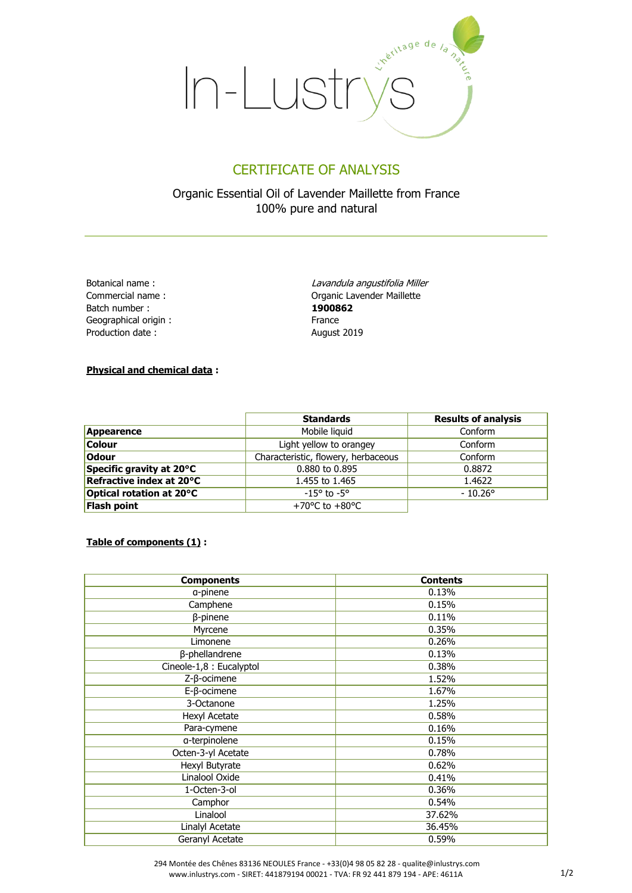

## CERTIFICATE OF ANALYSIS

Organic Essential Oil of Lavender Maillette from France 100% pure and natural

Botanical name : Commercial name : Batch number : Geographical origin : Production date :

Lavandula angustifolia Miller Organic Lavender Maillette **1900862** France August 2019

## **Physical and chemical data :**

|                          | <b>Standards</b>                     | <b>Results of analysis</b> |  |
|--------------------------|--------------------------------------|----------------------------|--|
| Appearence               | Mobile liquid                        | Conform                    |  |
| <b>Colour</b>            | Light yellow to orangey              | Conform                    |  |
| <b>Odour</b>             | Characteristic, flowery, herbaceous  | Conform                    |  |
| Specific gravity at 20°C | 0.880 to 0.895                       | 0.8872                     |  |
| Refractive index at 20°C | 1.455 to 1.465                       | 1.4622                     |  |
| Optical rotation at 20°C | $-15^{\circ}$ to $-5^{\circ}$        | $-10.26^{\circ}$           |  |
| Flash point              | +70 $^{\circ}$ C to +80 $^{\circ}$ C |                            |  |

#### **Table of components (1) :**

| <b>Components</b>        | <b>Contents</b> |
|--------------------------|-----------------|
| a-pinene                 | 0.13%           |
| Camphene                 | 0.15%           |
| $\beta$ -pinene          | 0.11%           |
| Myrcene                  | 0.35%           |
| Limonene                 | 0.26%           |
| β-phellandrene           | 0.13%           |
| Cineole-1,8 : Eucalyptol | 0.38%           |
| $Z$ - $\beta$ -ocimene   | 1.52%           |
| $E$ - $\beta$ -ocimene   | 1.67%           |
| 3-Octanone               | 1.25%           |
| Hexyl Acetate            | 0.58%           |
| Para-cymene              | 0.16%           |
| a-terpinolene            | 0.15%           |
| Octen-3-yl Acetate       | 0.78%           |
| Hexyl Butyrate           | 0.62%           |
| Linalool Oxide           | 0.41%           |
| 1-Octen-3-ol             | 0.36%           |
| Camphor                  | 0.54%           |
| Linalool                 | 37.62%          |
| Linalyl Acetate          | 36.45%          |
| Geranyl Acetate          | 0.59%           |

 294 Montée des Chênes 83136 NEOULES France - +33(0)4 98 05 82 28 - qualite@inlustrys.com www.inlustrys.com - SIRET: 441879194 00021 - TVA: FR 92 441 879 194 - APE: 4611A 1/2